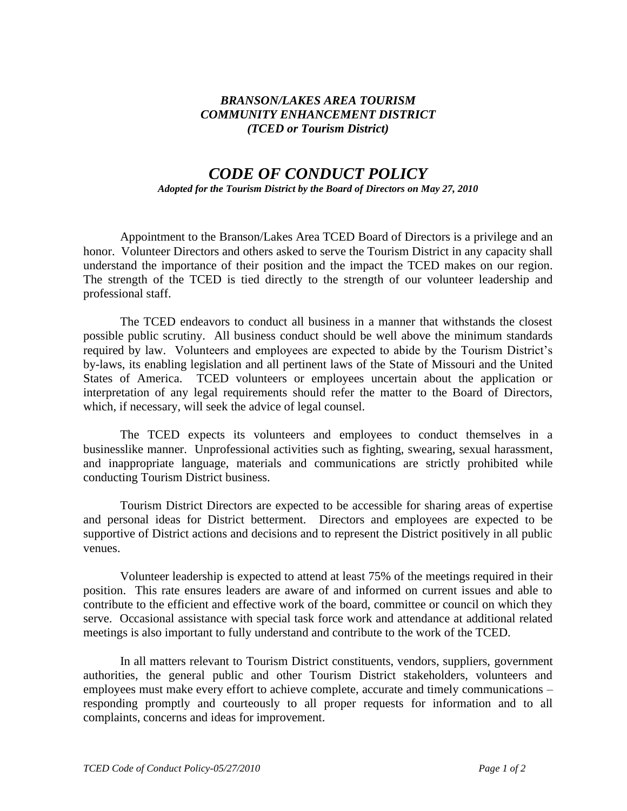## *BRANSON/LAKES AREA TOURISM COMMUNITY ENHANCEMENT DISTRICT (TCED or Tourism District)*

## *CODE OF CONDUCT POLICY*

*Adopted for the Tourism District by the Board of Directors on May 27, 2010*

Appointment to the Branson/Lakes Area TCED Board of Directors is a privilege and an honor. Volunteer Directors and others asked to serve the Tourism District in any capacity shall understand the importance of their position and the impact the TCED makes on our region. The strength of the TCED is tied directly to the strength of our volunteer leadership and professional staff.

The TCED endeavors to conduct all business in a manner that withstands the closest possible public scrutiny. All business conduct should be well above the minimum standards required by law. Volunteers and employees are expected to abide by the Tourism District's by-laws, its enabling legislation and all pertinent laws of the State of Missouri and the United States of America. TCED volunteers or employees uncertain about the application or interpretation of any legal requirements should refer the matter to the Board of Directors, which, if necessary, will seek the advice of legal counsel.

The TCED expects its volunteers and employees to conduct themselves in a businesslike manner. Unprofessional activities such as fighting, swearing, sexual harassment, and inappropriate language, materials and communications are strictly prohibited while conducting Tourism District business.

Tourism District Directors are expected to be accessible for sharing areas of expertise and personal ideas for District betterment. Directors and employees are expected to be supportive of District actions and decisions and to represent the District positively in all public venues.

Volunteer leadership is expected to attend at least 75% of the meetings required in their position. This rate ensures leaders are aware of and informed on current issues and able to contribute to the efficient and effective work of the board, committee or council on which they serve. Occasional assistance with special task force work and attendance at additional related meetings is also important to fully understand and contribute to the work of the TCED.

In all matters relevant to Tourism District constituents, vendors, suppliers, government authorities, the general public and other Tourism District stakeholders, volunteers and employees must make every effort to achieve complete, accurate and timely communications – responding promptly and courteously to all proper requests for information and to all complaints, concerns and ideas for improvement.